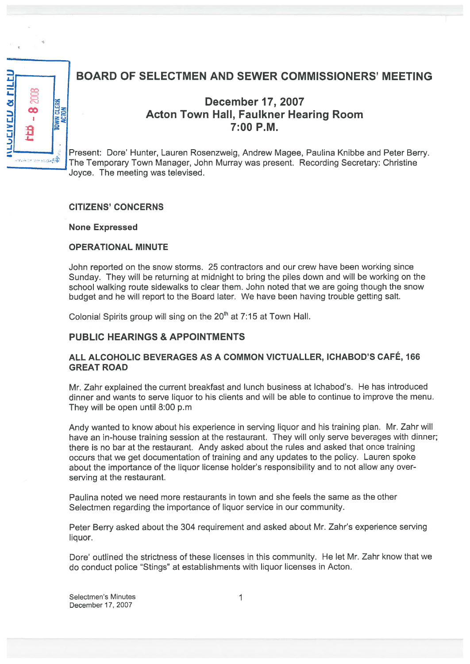

# BOARD OF SELECTMEN AND SEWER COMMISSIONERS' MEETING

# December 17, 2007 Acton Town Hall, Faulkner Hearing Room 7:00 P.M.

Present: Dore' Hunter, Lauren Rosenzweig, Andrew Magee, Paulina Knibbe and Peter Berry. The Temporary Town Manager, John Murray was present. Recording Secretary: Christine Joyce. The meeting was televised.

#### CITIZENS' CONCERNS

None Expressed

#### OPERATIONAL MINUTE

John reported on the snow storms. 25 contractors and our crew have been working since Sunday. They will be returning at midnight to bring the <sup>p</sup>iles down and will be working on the school walking route sidewalks to clear them. John noted that we are going though the snow budget and he will repor<sup>t</sup> to the Board later. We have been having trouble getting salt.

Colonial Spirits group will sing on the  $20<sup>th</sup>$  at  $7:15$  at Town Hall.

### PUBLIC HEARINGS & APPOINTMENTS

#### ALL ALCOHOLIC BEVERAGES AS <sup>A</sup> COMMON VICTUALLER, ICHABOD'S CAFÉ, <sup>166</sup> GREAT ROAD

Mr. Zahr explained the current breakfast and lunch business at Ichabod's. He has introduced dinner and wants to serve liquor to his clients and will be able to continue to improve the menu. They will be open until 8:00 p.m

Andy wanted to know about his experience in serving liquor and his training <sup>p</sup>lan. Mr. Zahr will have an in-house training session at the restaurant. They will only serve beverages with dinner; there is no bar at the restaurant. Andy asked about the rules and asked that once training occurs that we ge<sup>t</sup> documentation of training and any updates to the policy. Lauren spoke about the importance of the liquor license holder's responsibility and to not allow any overserving at the restaurant.

Paulina noted we need more restaurants in town and she feels the same as the other Selectmen regarding the importance of liquor service in our community.

Peter Berry asked about the <sup>304</sup> requirement and asked about Mr. Zahr's experience serving liquor.

Dore' outlined the strictness of these licenses in this community. He let Mr. Zahr know that we do conduct police 'Stings" at establishments with liquor licenses in Acton.

Selectmen's Minutes 1 December 17, 2007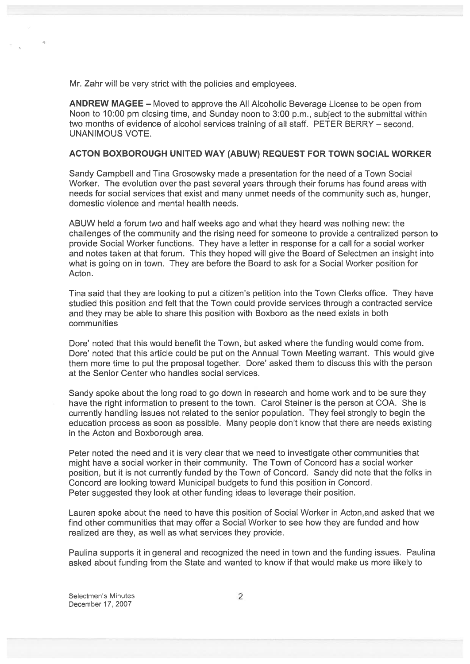Mr. Zahr will be very strict with the policies and employees.

ANDREW MAGEE — Moved to approve the All Alcoholic Beverage License to be open from Noon to 10:00 pm closing time, and Sunday noon to 3:00 p.m., subject to the submittal within two months of evidence of alcohol services training of all staff. PETER BERRY — second. UNANIMOUS VOTE.

#### ACTON BOXBOROUGH UNITED WAY (ABUW) REQUEST FOR TOWN SOCIAL WORKER

Sandy Campbell and Tina Grosowsky made <sup>a</sup> presentation for the need of <sup>a</sup> Town Social Worker. The evolution over the pas<sup>t</sup> several years through their forums has found areas with needs for social services that exist and many unmet needs of the community such as, hunger, domestic violence and mental health needs.

ABUW held <sup>a</sup> forum two and half weeks ago and what they heard was nothing new: the challenges of the community and the rising need for someone to provide <sup>a</sup> centralized person to provide Social Worker functions. They have <sup>a</sup> letter in response for <sup>a</sup> call for <sup>a</sup> social worker and notes taken at that forum. This they hoped will give the Board of Selectmen an insight into what is going on in town. They are before the Board to ask for <sup>a</sup> Social Worker position for Acton.

Tina said that they are looking to pu<sup>t</sup> <sup>a</sup> citizen's petition into the Town Clerks office. They have studied this position and felt that the Town could provide services through <sup>a</sup> contracted service and they may be able to share this position with Boxboro as the need exists in both communities

Dore' noted that this would benefit the Town, but asked where the funding would come from. Dore' noted that this article could be pu<sup>t</sup> on the Annual Town Meeting warrant. This would give them more time to pu<sup>t</sup> the proposal together. Dore' asked them to discuss this with the person at the Senior Center who handles social services.

Sandy spoke about the long road to go down in research and home work and to be sure they have the right information to present to the town. Carol Steiner is the person at COA. She is currently handling issues not related to the senior population. They feel strongly to begin the education process as soon as possible. Many people don't know that there are needs existing in the Acton and Boxborough area.

Peter noted the need and it is very clear that we need to investigate other communities that might have <sup>a</sup> social worker in their community. The Town of Concord has <sup>a</sup> social worker position, but it is not currently funded by the Town of Concord. Sandy did note that the folks in Concord are looking toward Municipal budgets to fund this position in Concord. Peter suggested they look at other funding ideas to leverage their position.

Lauren spoke about the need to have this position of Social Worker in Acton,and asked that we find other communities that may offer <sup>a</sup> Social Worker to see how they are funded and how realized are they, as well as what services they provide.

Paulina supports it in general and recognized the need in town and the funding issues. Paulina asked about funding from the State and wanted to know if that would make us more likely to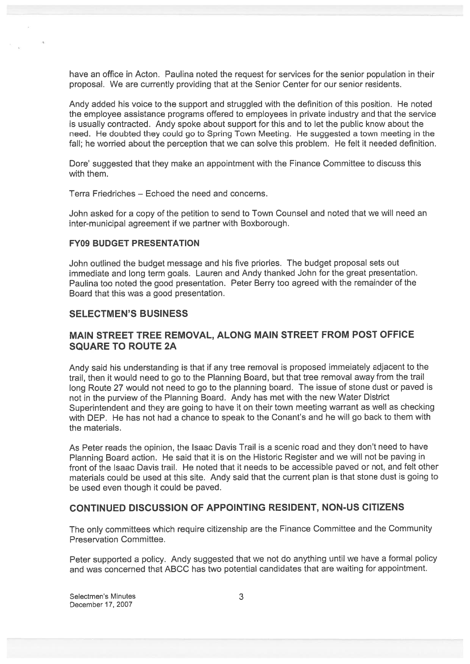have an office in Acton. Paulina noted the reques<sup>t</sup> for services for the senior population in their proposal. We are currently providing that at the Senior Center for our senior residents.

Andy added his voice to the suppor<sup>t</sup> and struggled with the definition of this position. He noted the employee assistance programs offered to employees in private industry and that the service is usually contracted. Andy spoke about suppor<sup>t</sup> for this and to let the public know about the need. He doubted they could go to Spring Town Meeting. He suggested <sup>a</sup> town meeting in the fall; he worried about the perception that we can solve this problem. He felt it needed definition.

Dore' suggested that they make an appointment with the Finance Committee to discuss this with them.

Terra Friedriches — Echoed the need and concerns.

John asked for <sup>a</sup> copy of the petition to send to Town Counsel and noted that we will need an inter-municipal agreemen<sup>t</sup> if we partner with Boxborough.

#### FY09 BUDGET PRESENTATION

John outlined the budget message and his five priories. The budget proposal sets out immediate and long term goals. Lauren and Andy thanked John for the grea<sup>t</sup> presentation. Paulina too noted the goo<sup>d</sup> presentation. Peter Berry too agree<sup>d</sup> with the remainder of the Board that this was <sup>a</sup> good presentation.

#### SELECTMEN'S BUSINESS

#### MAIN STREET TREE REMOVAL, ALONG MAIN STREET FROM POST OFFICE SQUARE TO ROUTE 2A

Andy said his understanding is that if any tree removal is propose<sup>d</sup> immeiately adjacent to the trail, then it would need to go to the Planning Board, but that tree removal away from the trail long Route <sup>27</sup> would not need to go to the <sup>p</sup>lanning board. The issue of stone dust or pave<sup>d</sup> is not in the purview of the Planning Board. Andy has met with the new Water District Superintendent and they are going to have it on their town meeting warrant as well as checking with DEP. He has not had <sup>a</sup> chance to speak to the Conant's and he will go back to them with the materials.

As Peter reads the opinion, the Isaac Davis Trail is <sup>a</sup> scenic road and they don't need to have Planning Board action. He said that it is on the Historic Register and we will not be paving in front of the Isaac Davis trail. He noted that it needs to be accessible paved or not, and felt other materials could be used at this site. Andy said that the current <sup>p</sup>lan is that stone dust is going to be used even though it could be paved.

#### CONTINUED DISCUSSION OF APPOINTING RESIDENT, NON-US CITIZENS

The only committees which require citizenship are the Finance Committee and the Community Preservation Committee.

Peter supported <sup>a</sup> policy. Andy suggested that we not do anything until we have <sup>a</sup> formal policy and was concerned that ABCC has two potential candidates that are waiting for appointment.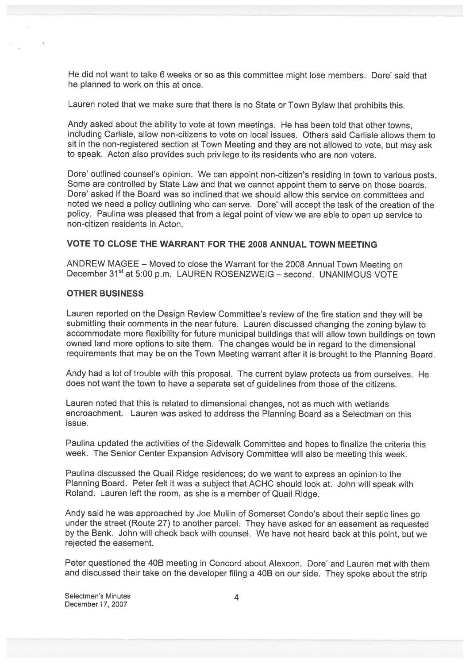He did not want to take <sup>6</sup> weeks or so as this committee might lose members. Dore' said that he planned to work on this at once.

Lauren noted that we make sure that there is no State or Town Bylaw that prohibits this.

Andy asked about the ability to vote at town meetings. He has been told that other towns, including Carlisle, allow non-citizens to vote on local issues. Others said Carlisle allows them to sit in the non-registered section at Town Meeting and they are not allowed to vote, but may ask to speak. Acton also provides such privilege to its residents who are non voters.

Dore' outlined counsel's opinion. We can appoint non-citizen's residing in town to various posts. Some are controlled by State Law and that we cannot appoint them to serve on those boards. Dore' asked if the Board was so inclined that we should allow this service on committees and noted we need <sup>a</sup> policy outlining who can serve. Dore' will accep<sup>t</sup> the task of the creation of the policy. Paulina was <sup>p</sup>leased that from <sup>a</sup> legal point of view we are able to open up service to non-citizen residents in Acton.

#### VOTE TO CLOSE THE WARRANT FOR THE 2008 ANNUAL TOWN MEETING

ANDREW MAGEE — Moved to close the Warrant for the <sup>2008</sup> Annual Town Meeting on December 31<sup>st</sup> at 5:00 p.m. LAUREN ROSENZWEIG - second. UNANIMOUS VOTE

#### OTHER BUSINESS

Lauren reported on the Design Review Committee's review of the fire station and they will be submitting their comments in the near future. Lauren discussed changing the zoning bylaw to accommodate more flexibility for future municipal buildings that will allow town buildings on town owned land more options to site them. The changes would be in regard to the dimensional requirements that may be on the Town Meeting warrant after it is brought to the Planning Board.

Andy had <sup>a</sup> lot of trouble with this proposal. The current bylaw protects us from ourselves. He does not want the town to have <sup>a</sup> separate set of guidelines from those of the citizens.

Lauren noted that this is related to dimensional changes, not as much with wetlands encroachment. Lauren was asked to address the Planning Board as <sup>a</sup> Selectman on this issue.

Paulina updated the activities of the Sidewalk Committee and hopes to finalize the criteria this week. The Senior Center Expansion Advisory Committee will also be meeting this week.

Paulina discussed the Quail Ridge residences; do we want to express an opinion to the Planning Board. Peter felt it was <sup>a</sup> subject that ACHC should look at. John will spea<sup>k</sup> with Roland. Lauren left the room, as she is <sup>a</sup> member of Quail Ridge.

Andy said he was approached by Joe Mullin of Somerset Condo's about their septic lines go under the street (Route 27) to another parcel. They have asked for an easement as requested by the Bank. John will check back with counsel. We have not heard back at this point, but we rejected the easement.

Peter questioned the 40B meeting in Concord about Alexcon. Dore' and Lauren met with them and discussed their take on the developer filing <sup>a</sup> 4DB on our side. They spoke about the strip

Selectmen's Minutes 4 December 17, 2007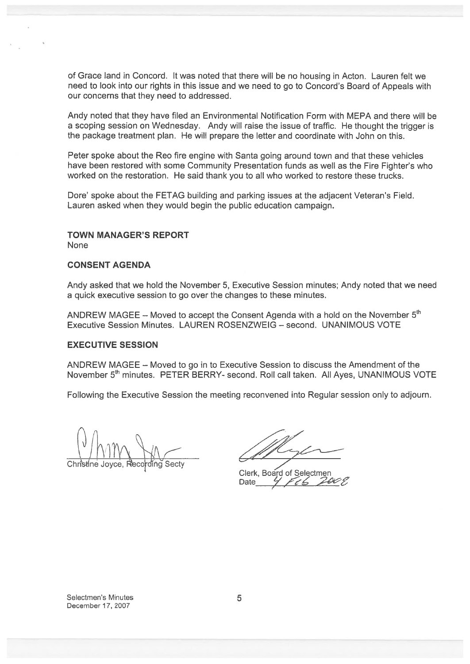of Grace land in Concord. It was noted that there will be no housing in Acton. Lauren felt we need to look into our rights in this issue and we need to go to Concord's Board of Appeals with our concerns that they need to addressed.

Andy noted that they have filed an Environmental Notification Form with MEPA and there will be <sup>a</sup> scoping session on Wednesday. Andy will raise the issue of traffic. He thought the trigger is the package treatment plan. He will prepare the letter and coordinate with John on this. of Grace land in Concord. It was noted that there will be no housing in<br>
need to look into our rights in this issue and we need to go to Concord<br>
our concerns that they have filed an Environmental Notification Form with<br>
a

Peter spoke about the Reo fire engine with Santa going around town and that these vehicles have been restored with some Community Presentation funds as well as the Fire Fighter's who worked on the restoration. He said thank you to all who worked to restore these trucks.

Dore' spoke about the FETAG building and parking issues at the adjacent Veteran's Field. Lauren asked when they would begin the public education campaign.

# TOWN MANAGER'S REPORT

None

#### CONSENT AGENDA

Andy asked that we hold the November 5, Executive Session minutes; Andy noted that we need <sup>a</sup> quick executive session to go over the changes to these minutes.

ANDREW MAGEE – Moved to accept the Consent Agenda with a hold on the November  $5<sup>th</sup>$ Executive Session Minutes. LAUREN ROSENZWEIG — second. UNANIMOUS VOTE

#### EXECUTIVE SESSION

ANDREW MAGEE — Moved to go in to Executive Session to discuss the Amendment of the November 5<sup>th</sup> minutes. PETER BERRY- second. Roll call taken. All Ayes, UNANIMOUS VOTE

Following the Executive Session the meeting reconvened into Regular session only to adjourn.

Clerk, Board of Selectmen Date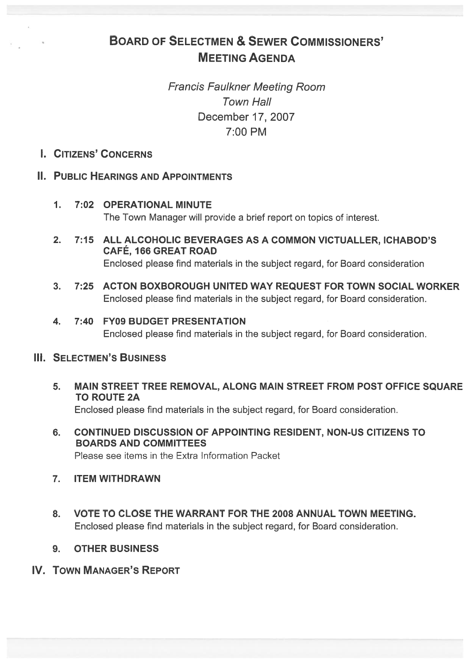# BOARD OF SELECTMEN & SEWER COMMISSIONERS' MEETING AGENDA

Francis Faulkner Meeting Room Town Hall December 17, 2007 7:00 PM

# I. CITIZENS' CONCERNS

# II. PUBLIC HEARINGS AND APPOINTMENTS

- 1. 7:02 OPERATIONAL MINUTE The Town Manager will provide <sup>a</sup> brief repor<sup>t</sup> on topics of interest.
- 2. 7:15 ALL ALCOHOLIC BEVERAGES AS A COMMON VICTUALLER, ICHABOD'S CAFÉ, <sup>166</sup> GREAT ROAD Enclosed please find materials in the subject regard, for Board consideration
- 3. 7:25 ACTON BOXBOROUGH UNITED WAY REQUEST FOR TOWN SOCIAL WORKER Enclosed please find materials in the subject regard, for Board consideration.
- 4. 7:40 FY09 BUDGET PRESENTATION Enclosed please find materials in the subject regard, for Board consideration.

# **III. SELECTMEN'S BUSINESS**

- 5. MAIN STREET TREE REMOVAL, ALONG MAIN STREET FROM POST OFFICE SQUARE TO ROUTE 2A Enclosed please find materials in the subject regard, for Board consideration.
- 6. CONTINUED DISCUSSION OF APPOINTING RESIDENT, NON-US CITIZENS TO BOARDS AND COMMITTEES Please see items in the Extra Information Packet
- 7. ITEM WITHDRAWN
- 8. VOTE TO CLOSE THE WARRANT FOR THE 2008 ANNUAL TOWN MEETING. Enclosed please find materials in the subject regard, for Board consideration.
- 9. OTHER BUSINESS
- IV. TOWN MANAGER'S REPORT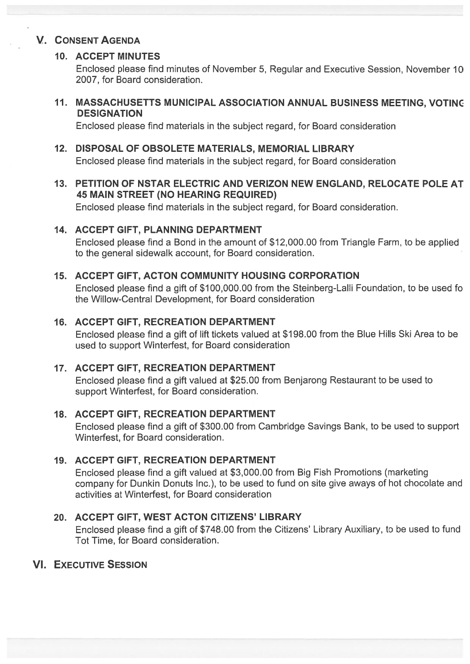# V. CONSENT AGENDA

# 10. ACCEPT MINUTES

Enclosed please find minutes of November 5, Regular and Executive Session, November 10 2007, for Board consideration.

11. MASSACHUSETTS MUNICIPAL ASSOCIATION ANNUAL BUSINESS MEETING, VOTINC **DESIGNATION** 

Enclosed please find materials in the subject regard, for Board consideration

### 12. DISPOSAL OF OBSOLETE MATERIALS, MEMORIAL LIBRARY

Enclosed please find materials in the subject regard, for Board consideration

## 13. PETITION OF NSTAR ELECTRIC AND VERIZON NEW ENGLAND, RELOCATE POLE AT 45 MAIN STREET (NO HEARING REQUIRED)

Enclosed please find materials in the subject regard, for Board consideration.

## 14. ACCEPT GIFT, PLANNING DEPARTMENT

Enclosed please find <sup>a</sup> Bond in the amount of \$12,000.00 from Triangle Farm, to be applied to the general sidewalk account, for Board consideration.

## 15. ACCEPT GIFT, ACTON COMMUNITY HOUSING CORPORATION

Enclosed please find <sup>a</sup> gift of \$100,000.00 from the Steinberg-Lalli Foundation, to be used fo the Willow-Central Development, for Board consideration

## 16. ACCEPT GIFT, RECREATION DEPARTMENT

Enclosed please find <sup>a</sup> gift of lift tickets valued at \$198.00 from the Blue Hills Ski Area to be used to suppor<sup>t</sup> Winterfest, for Board consideration

### 17. ACCEPT GIFT, RECREATION DEPARTMENT

Enclosed please find <sup>a</sup> gift valued at \$25.00 from Benjarong Restaurant to be used to suppor<sup>t</sup> Winterfest, for Board consideration.

### 18. ACCEPT GIFT, RECREATION DEPARTMENT

Enclosed please find <sup>a</sup> gift of \$300.00 from Cambridge Savings Bank, to be used to suppor<sup>t</sup> Winterfest, for Board consideration.

# 19. ACCEPT GIFT, RECREATION DEPARTMENT

Enclosed please find <sup>a</sup> gift valued at \$3,000.00 from Big Fish Promotions (marketing company for Dunkin Donuts Inc.), to be used to fund on site give aways of hot chocolate and activities at Winterfest, for Board consideration

# 20. ACCEPT GIFT, WEST ACTON CITIZENS' LIBRARY

Enclosed please find <sup>a</sup> gift of \$748.00 from the Citizens' Library Auxiliary, to be used to fund Tot Time, for Board consideration.

# VI. EXECUTIVE SESSION